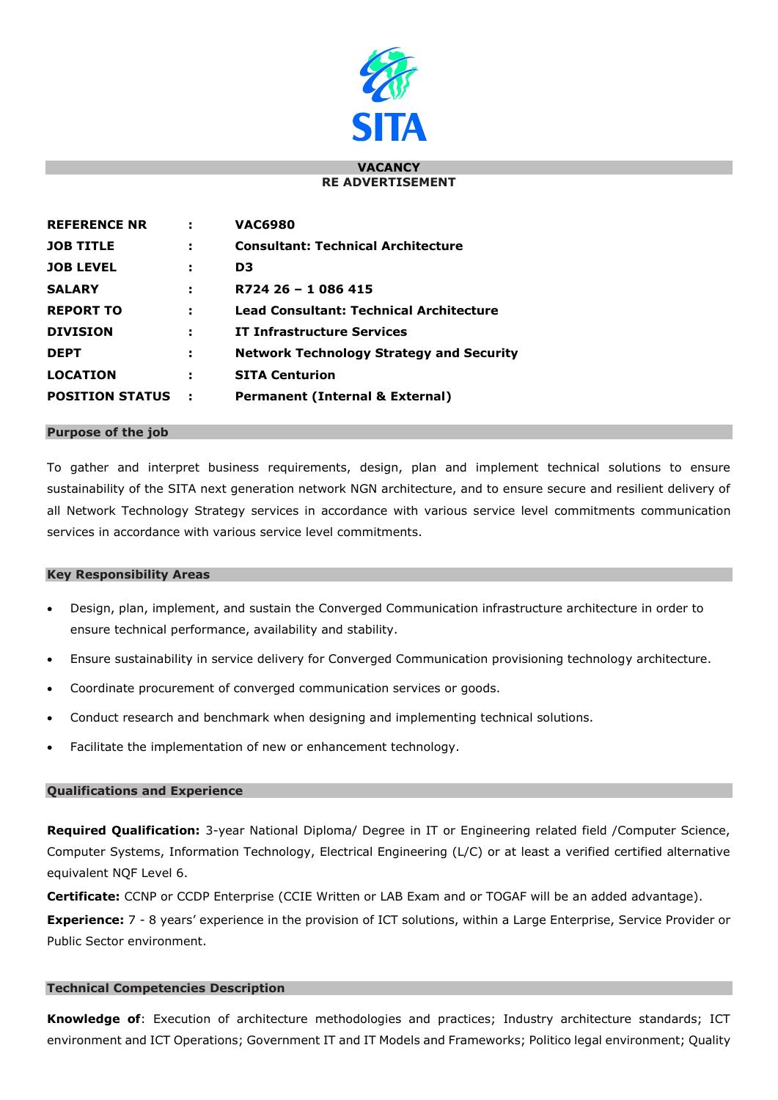

#### **VACANCY RE ADVERTISEMENT**

| <b>REFERENCE NR</b>    | ÷   | <b>VAC6980</b>                                  |
|------------------------|-----|-------------------------------------------------|
| <b>JOB TITLE</b>       | н   | <b>Consultant: Technical Architecture</b>       |
| <b>JOB LEVEL</b>       | ÷   | D3                                              |
| <b>SALARY</b>          | э   | R724 26 - 1 086 415                             |
| <b>REPORT TO</b>       | ÷   | <b>Lead Consultant: Technical Architecture</b>  |
| <b>DIVISION</b>        | н   | <b>IT Infrastructure Services</b>               |
| <b>DEPT</b>            | н   | <b>Network Technology Strategy and Security</b> |
| <b>LOCATION</b>        | н   | <b>SITA Centurion</b>                           |
| <b>POSITION STATUS</b> | - 5 | Permanent (Internal & External)                 |

#### **Purpose of the job**

To gather and interpret business requirements, design, plan and implement technical solutions to ensure sustainability of the SITA next generation network NGN architecture, and to ensure secure and resilient delivery of all Network Technology Strategy services in accordance with various service level commitments communication services in accordance with various service level commitments.

#### **Key Responsibility Areas**

- Design, plan, implement, and sustain the Converged Communication infrastructure architecture in order to ensure technical performance, availability and stability.
- Ensure sustainability in service delivery for Converged Communication provisioning technology architecture.
- Coordinate procurement of converged communication services or goods.
- Conduct research and benchmark when designing and implementing technical solutions.
- Facilitate the implementation of new or enhancement technology.

## **Qualifications and Experience**

**Required Qualification:** 3-year National Diploma/ Degree in IT or Engineering related field /Computer Science, Computer Systems, Information Technology, Electrical Engineering (L/C) or at least a verified certified alternative equivalent NQF Level 6.

**Certificate:** CCNP or CCDP Enterprise (CCIE Written or LAB Exam and or TOGAF will be an added advantage).

**Experience:** 7 - 8 years' experience in the provision of ICT solutions, within a Large Enterprise, Service Provider or Public Sector environment.

## **Technical Competencies Description**

**Knowledge of**: Execution of architecture methodologies and practices; Industry architecture standards; ICT environment and ICT Operations; Government IT and IT Models and Frameworks; Politico legal environment; Quality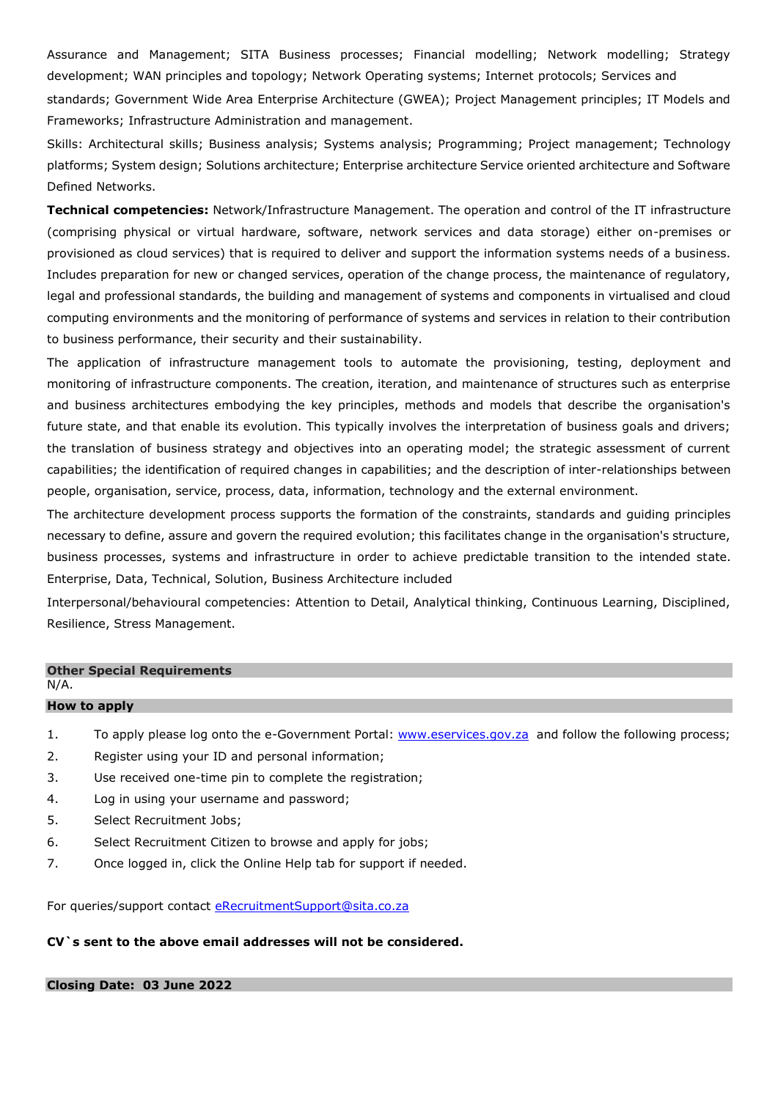Assurance and Management; SITA Business processes; Financial modelling; Network modelling; Strategy development; WAN principles and topology; Network Operating systems; Internet protocols; Services and

standards; Government Wide Area Enterprise Architecture (GWEA); Project Management principles; IT Models and Frameworks; Infrastructure Administration and management.

Skills: Architectural skills; Business analysis; Systems analysis; Programming; Project management; Technology platforms; System design; Solutions architecture; Enterprise architecture Service oriented architecture and Software Defined Networks.

**Technical competencies:** Network/Infrastructure Management. The operation and control of the IT infrastructure (comprising physical or virtual hardware, software, network services and data storage) either on-premises or provisioned as cloud services) that is required to deliver and support the information systems needs of a business. Includes preparation for new or changed services, operation of the change process, the maintenance of regulatory, legal and professional standards, the building and management of systems and components in virtualised and cloud computing environments and the monitoring of performance of systems and services in relation to their contribution to business performance, their security and their sustainability.

The application of infrastructure management tools to automate the provisioning, testing, deployment and monitoring of infrastructure components. The creation, iteration, and maintenance of structures such as enterprise and business architectures embodying the key principles, methods and models that describe the organisation's future state, and that enable its evolution. This typically involves the interpretation of business goals and drivers; the translation of business strategy and objectives into an operating model; the strategic assessment of current capabilities; the identification of required changes in capabilities; and the description of inter-relationships between people, organisation, service, process, data, information, technology and the external environment.

The architecture development process supports the formation of the constraints, standards and guiding principles necessary to define, assure and govern the required evolution; this facilitates change in the organisation's structure, business processes, systems and infrastructure in order to achieve predictable transition to the intended state. Enterprise, Data, Technical, Solution, Business Architecture included

Interpersonal/behavioural competencies: Attention to Detail, Analytical thinking, Continuous Learning, Disciplined, Resilience, Stress Management.

# **Other Special Requirements** N/A. **How to apply**

- 1. To apply please log onto the e-Government Portal: [www.eservices.gov.za](http://www.eservices.gov.za/) and follow the following process;
- 2. Register using your ID and personal information;
- 3. Use received one-time pin to complete the registration;
- 4. Log in using your username and password;
- 5. Select Recruitment Jobs;
- 6. Select Recruitment Citizen to browse and apply for jobs;
- 7. Once logged in, click the Online Help tab for support if needed.

For queries/support contact [eRecruitmentSupport@sita.co.za](mailto:eRecruitmentSupport@sita.co.za)

## **CV`s sent to the above email addresses will not be considered.**

## **Closing Date: 03 June 2022**